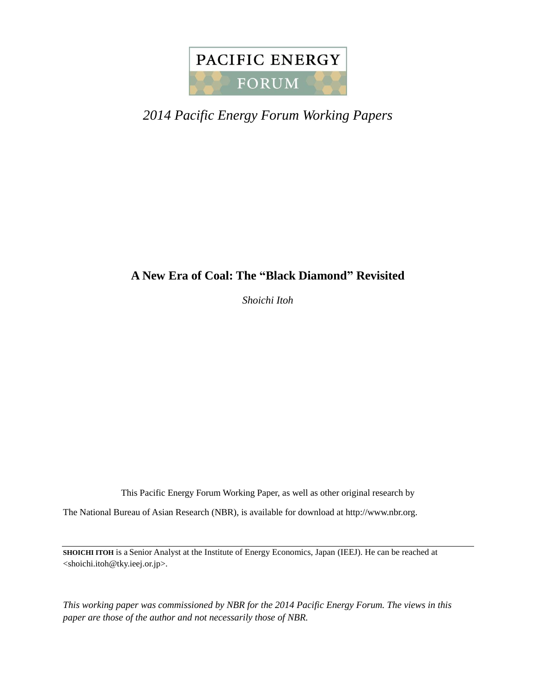

# *2014 Pacific Energy Forum Working Papers*

## **A New Era of Coal: The "Black Diamond" Revisited**

*Shoichi Itoh*

This Pacific Energy Forum Working Paper, as well as other original research by

The National Bureau of Asian Research (NBR), is available for download at http://www.nbr.org.

**SHOICHI ITOH** is a Senior Analyst at the Institute of Energy Economics, Japan (IEEJ). He can be reached at <shoichi.itoh@tky.ieej.or.jp>.

*This working paper was commissioned by NBR for the 2014 Pacific Energy Forum. The views in this paper are those of the author and not necessarily those of NBR.*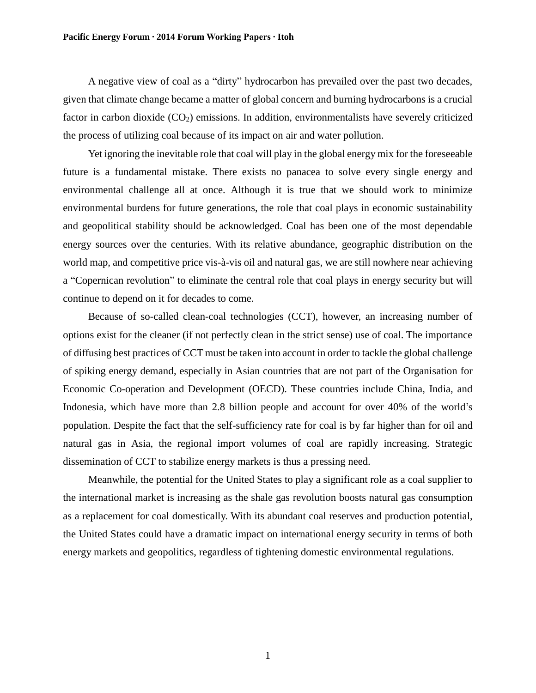A negative view of coal as a "dirty" hydrocarbon has prevailed over the past two decades, given that climate change became a matter of global concern and burning hydrocarbons is a crucial factor in carbon dioxide  $(CO<sub>2</sub>)$  emissions. In addition, environmentalists have severely criticized the process of utilizing coal because of its impact on air and water pollution.

Yet ignoring the inevitable role that coal will play in the global energy mix for the foreseeable future is a fundamental mistake. There exists no panacea to solve every single energy and environmental challenge all at once. Although it is true that we should work to minimize environmental burdens for future generations, the role that coal plays in economic sustainability and geopolitical stability should be acknowledged. Coal has been one of the most dependable energy sources over the centuries. With its relative abundance, geographic distribution on the world map, and competitive price vis-à-vis oil and natural gas, we are still nowhere near achieving a "Copernican revolution" to eliminate the central role that coal plays in energy security but will continue to depend on it for decades to come.

Because of so-called clean-coal technologies (CCT), however, an increasing number of options exist for the cleaner (if not perfectly clean in the strict sense) use of coal. The importance of diffusing best practices of CCT must be taken into account in order to tackle the global challenge of spiking energy demand, especially in Asian countries that are not part of the Organisation for Economic Co-operation and Development (OECD). These countries include China, India, and Indonesia, which have more than 2.8 billion people and account for over 40% of the world's population. Despite the fact that the self-sufficiency rate for coal is by far higher than for oil and natural gas in Asia, the regional import volumes of coal are rapidly increasing. Strategic dissemination of CCT to stabilize energy markets is thus a pressing need.

Meanwhile, the potential for the United States to play a significant role as a coal supplier to the international market is increasing as the shale gas revolution boosts natural gas consumption as a replacement for coal domestically. With its abundant coal reserves and production potential, the United States could have a dramatic impact on international energy security in terms of both energy markets and geopolitics, regardless of tightening domestic environmental regulations.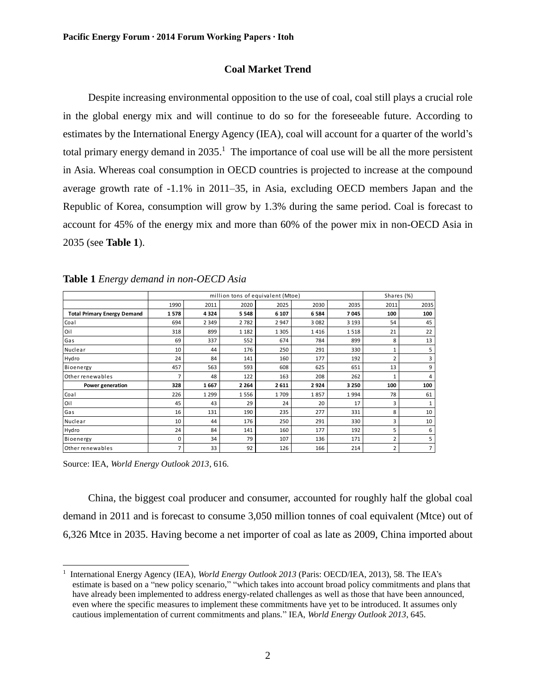## **Coal Market Trend**

Despite increasing environmental opposition to the use of coal, coal still plays a crucial role in the global energy mix and will continue to do so for the foreseeable future. According to estimates by the International Energy Agency (IEA), coal will account for a quarter of the world's total primary energy demand in 2035.<sup>1</sup> The importance of coal use will be all the more persistent in Asia. Whereas coal consumption in OECD countries is projected to increase at the compound average growth rate of -1.1% in 2011–35, in Asia, excluding OECD members Japan and the Republic of Korea, consumption will grow by 1.3% during the same period. Coal is forecast to account for 45% of the energy mix and more than 60% of the power mix in non-OECD Asia in 2035 (see **Table 1**).

|                                    | million tons of equivalent (Mtoe) |         |         |         |         |         |                         | Shares (%)     |  |  |
|------------------------------------|-----------------------------------|---------|---------|---------|---------|---------|-------------------------|----------------|--|--|
|                                    | 1990                              | 2011    | 2020    | 2025    | 2030    | 2035    | 2011                    | 2035           |  |  |
| <b>Total Primary Energy Demand</b> | 1578                              | 4324    | 5 5 4 8 | 6 107   | 6 5 8 4 | 7045    | 100                     | 100            |  |  |
| Coal                               | 694                               | 2 3 4 9 | 2782    | 2 9 4 7 | 3 0 8 2 | 3 1 9 3 | 54                      | 45             |  |  |
| Oil                                | 318                               | 899     | 1 1 8 2 | 1 3 0 5 | 1416    | 1518    | 21                      | 22             |  |  |
| Gas                                | 69                                | 337     | 552     | 674     | 784     | 899     | 8                       | 13             |  |  |
| Nuclear                            | 10                                | 44      | 176     | 250     | 291     | 330     | 1                       | 5              |  |  |
| Hydro                              | 24                                | 84      | 141     | 160     | 177     | 192     | 2                       | 3              |  |  |
| Bioenergy                          | 457                               | 563     | 593     | 608     | 625     | 651     | 13                      | 9              |  |  |
| Other renewables                   | 7                                 | 48      | 122     | 163     | 208     | 262     | 1                       | 4              |  |  |
| Power generation                   | 328                               | 1667    | 2 2 6 4 | 2 6 1 1 | 2924    | 3 2 5 0 | 100                     | 100            |  |  |
| Coal                               | 226                               | 1 2 9 9 | 1556    | 1709    | 1857    | 1994    | 78                      | 61             |  |  |
| Oil                                | 45                                | 43      | 29      | 24      | 20      | 17      | 3                       | 1              |  |  |
| Gas                                | 16                                | 131     | 190     | 235     | 277     | 331     | 8                       | 10             |  |  |
| Nuclear                            | 10                                | 44      | 176     | 250     | 291     | 330     | 3                       | 10             |  |  |
| Hydro                              | 24                                | 84      | 141     | 160     | 177     | 192     | 5                       | 6              |  |  |
| Bioenergy                          | 0                                 | 34      | 79      | 107     | 136     | 171     | $\overline{\mathbf{c}}$ | 5              |  |  |
| Other renewables                   | $\overline{7}$                    | 33      | 92      | 126     | 166     | 214     | $\overline{2}$          | $\overline{7}$ |  |  |

**Table 1** *Energy demand in non-OECD Asia*

Source: IEA, *World Energy Outlook 2013*, 616.

 $\overline{a}$ 

China, the biggest coal producer and consumer, accounted for roughly half the global coal demand in 2011 and is forecast to consume 3,050 million tonnes of coal equivalent (Mtce) out of 6,326 Mtce in 2035. Having become a net importer of coal as late as 2009, China imported about

<sup>&</sup>lt;sup>1</sup> International Energy Agency (IEA), *World Energy Outlook 2013* (Paris: OECD/IEA, 2013), 58. The IEA's estimate is based on a "new policy scenario," "which takes into account broad policy commitments and plans that have already been implemented to address energy-related challenges as well as those that have been announced, even where the specific measures to implement these commitments have yet to be introduced. It assumes only cautious implementation of current commitments and plans." IEA, *World Energy Outlook 2013*, 645.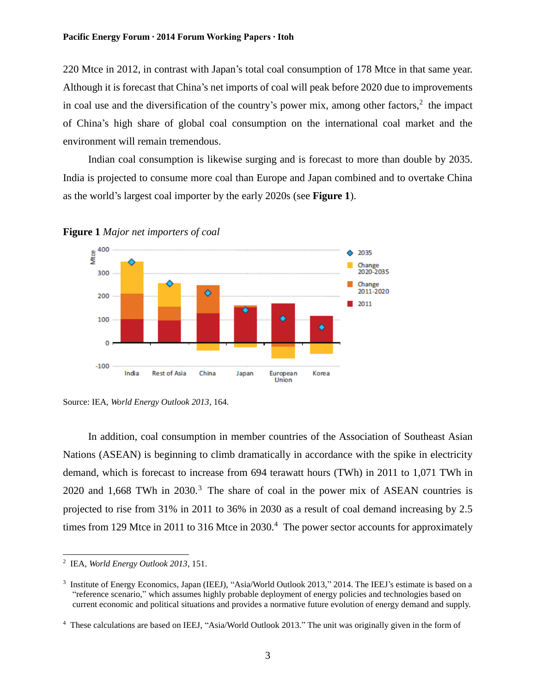220 Mtce in 2012, in contrast with Japan's total coal consumption of 178 Mtce in that same year. Although it is forecast that China's net imports of coal will peak before 2020 due to improvements in coal use and the diversification of the country's power mix, among other factors, $2$  the impact of China's high share of global coal consumption on the international coal market and the environment will remain tremendous.

Indian coal consumption is likewise surging and is forecast to more than double by 2035. India is projected to consume more coal than Europe and Japan combined and to overtake China as the world's largest coal importer by the early 2020s (see **Figure 1**).





In addition, coal consumption in member countries of the Association of Southeast Asian Nations (ASEAN) is beginning to climb dramatically in accordance with the spike in electricity demand, which is forecast to increase from 694 terawatt hours (TWh) in 2011 to 1,071 TWh in  $2020$  and 1,668 TWh in  $2030<sup>3</sup>$ . The share of coal in the power mix of ASEAN countries is projected to rise from 31% in 2011 to 36% in 2030 as a result of coal demand increasing by 2.5 times from 129 Mtce in 2011 to 316 Mtce in 2030.<sup>4</sup> The power sector accounts for approximately

Source: IEA, *World Energy Outlook 2013*, 164.

 2 IEA, *World Energy Outlook 2013*, 151.

<sup>&</sup>lt;sup>3</sup> Institute of Energy Economics, Japan (IEEJ), "Asia/World Outlook 2013," 2014. The IEEJ's estimate is based on a "reference scenario," which assumes highly probable deployment of energy policies and technologies based on current economic and political situations and provides a normative future evolution of energy demand and supply.

<sup>4</sup> These calculations are based on IEEJ, "Asia/World Outlook 2013." The unit was originally given in the form of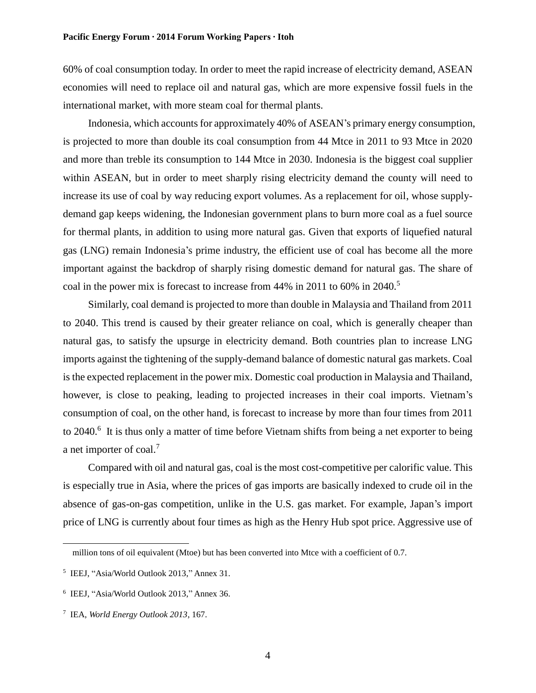60% of coal consumption today. In order to meet the rapid increase of electricity demand, ASEAN economies will need to replace oil and natural gas, which are more expensive fossil fuels in the international market, with more steam coal for thermal plants.

Indonesia, which accounts for approximately 40% of ASEAN's primary energy consumption, is projected to more than double its coal consumption from 44 Mtce in 2011 to 93 Mtce in 2020 and more than treble its consumption to 144 Mtce in 2030. Indonesia is the biggest coal supplier within ASEAN, but in order to meet sharply rising electricity demand the county will need to increase its use of coal by way reducing export volumes. As a replacement for oil, whose supplydemand gap keeps widening, the Indonesian government plans to burn more coal as a fuel source for thermal plants, in addition to using more natural gas. Given that exports of liquefied natural gas (LNG) remain Indonesia's prime industry, the efficient use of coal has become all the more important against the backdrop of sharply rising domestic demand for natural gas. The share of coal in the power mix is forecast to increase from 44% in 2011 to 60% in 2040.<sup>5</sup>

Similarly, coal demand is projected to more than double in Malaysia and Thailand from 2011 to 2040. This trend is caused by their greater reliance on coal, which is generally cheaper than natural gas, to satisfy the upsurge in electricity demand. Both countries plan to increase LNG imports against the tightening of the supply-demand balance of domestic natural gas markets. Coal is the expected replacement in the power mix. Domestic coal production in Malaysia and Thailand, however, is close to peaking, leading to projected increases in their coal imports. Vietnam's consumption of coal, on the other hand, is forecast to increase by more than four times from 2011 to 2040.<sup>6</sup> It is thus only a matter of time before Vietnam shifts from being a net exporter to being a net importer of coal.<sup>7</sup>

Compared with oil and natural gas, coal is the most cost-competitive per calorific value. This is especially true in Asia, where the prices of gas imports are basically indexed to crude oil in the absence of gas-on-gas competition, unlike in the U.S. gas market. For example, Japan's import price of LNG is currently about four times as high as the Henry Hub spot price. Aggressive use of

million tons of oil equivalent (Mtoe) but has been converted into Mtce with a coefficient of 0.7.

<sup>5</sup> IEEJ, "Asia/World Outlook 2013," Annex 31.

<sup>6</sup> IEEJ, "Asia/World Outlook 2013," Annex 36.

<sup>7</sup> IEA, *World Energy Outlook 2013*, 167.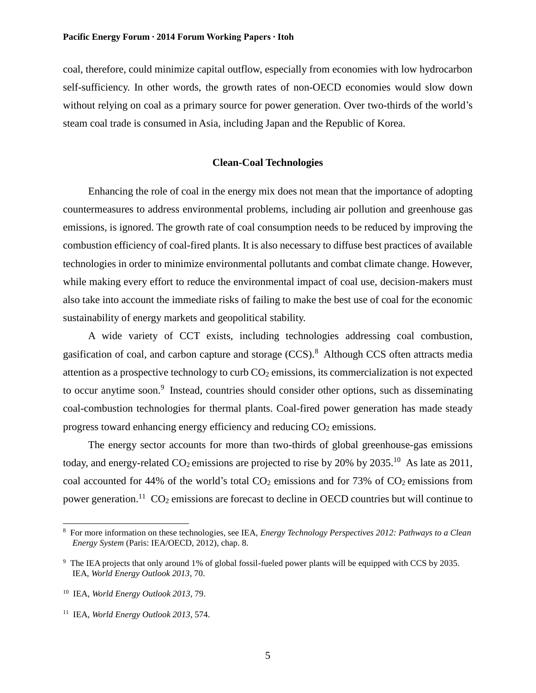coal, therefore, could minimize capital outflow, especially from economies with low hydrocarbon self-sufficiency. In other words, the growth rates of non-OECD economies would slow down without relying on coal as a primary source for power generation. Over two-thirds of the world's steam coal trade is consumed in Asia, including Japan and the Republic of Korea.

## **Clean-Coal Technologies**

Enhancing the role of coal in the energy mix does not mean that the importance of adopting countermeasures to address environmental problems, including air pollution and greenhouse gas emissions, is ignored. The growth rate of coal consumption needs to be reduced by improving the combustion efficiency of coal-fired plants. It is also necessary to diffuse best practices of available technologies in order to minimize environmental pollutants and combat climate change. However, while making every effort to reduce the environmental impact of coal use, decision-makers must also take into account the immediate risks of failing to make the best use of coal for the economic sustainability of energy markets and geopolitical stability.

A wide variety of CCT exists, including technologies addressing coal combustion, gasification of coal, and carbon capture and storage (CCS).<sup>8</sup> Although CCS often attracts media attention as a prospective technology to curb  $CO<sub>2</sub>$  emissions, its commercialization is not expected to occur anytime soon.<sup>9</sup> Instead, countries should consider other options, such as disseminating coal-combustion technologies for thermal plants. Coal-fired power generation has made steady progress toward enhancing energy efficiency and reducing  $CO<sub>2</sub>$  emissions.

The energy sector accounts for more than two-thirds of global greenhouse-gas emissions today, and energy-related  $CO_2$  emissions are projected to rise by 20% by 2035.<sup>10</sup> As late as 2011, coal accounted for 44% of the world's total  $CO<sub>2</sub>$  emissions and for 73% of  $CO<sub>2</sub>$  emissions from power generation.<sup>11</sup> CO<sub>2</sub> emissions are forecast to decline in OECD countries but will continue to

<sup>8</sup> For more information on these technologies, see IEA, *Energy Technology Perspectives 2012: Pathways to a Clean Energy System* (Paris: IEA/OECD, 2012), chap. 8.

<sup>&</sup>lt;sup>9</sup> The IEA projects that only around 1% of global fossil-fueled power plants will be equipped with CCS by 2035. IEA, *World Energy Outlook 2013*, 70.

<sup>10</sup> IEA, *World Energy Outlook 2013*, 79.

<sup>11</sup> IEA, *World Energy Outlook 2013*, 574.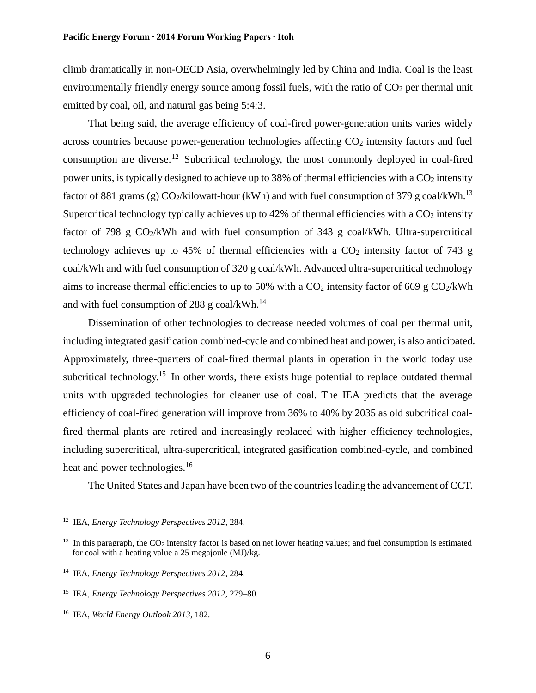climb dramatically in non-OECD Asia, overwhelmingly led by China and India. Coal is the least environmentally friendly energy source among fossil fuels, with the ratio of  $CO<sub>2</sub>$  per thermal unit emitted by coal, oil, and natural gas being 5:4:3.

That being said, the average efficiency of coal-fired power-generation units varies widely across countries because power-generation technologies affecting  $CO<sub>2</sub>$  intensity factors and fuel consumption are diverse.<sup>12</sup> Subcritical technology, the most commonly deployed in coal-fired power units, is typically designed to achieve up to 38% of thermal efficiencies with a  $CO<sub>2</sub>$  intensity factor of 881 grams (g)  $CO_2/kilow$ att-hour (kWh) and with fuel consumption of 379 g coal/kWh.<sup>13</sup> Supercritical technology typically achieves up to  $42\%$  of thermal efficiencies with a  $CO<sub>2</sub>$  intensity factor of 798 g  $CO<sub>2</sub>/kWh$  and with fuel consumption of 343 g coal/kWh. Ultra-supercritical technology achieves up to 45% of thermal efficiencies with a  $CO<sub>2</sub>$  intensity factor of 743 g coal/kWh and with fuel consumption of 320 g coal/kWh. Advanced ultra-supercritical technology aims to increase thermal efficiencies to up to 50% with a  $CO<sub>2</sub>$  intensity factor of 669 g  $CO<sub>2</sub>/kWh$ and with fuel consumption of 288 g coal/kWh. $^{14}$ 

Dissemination of other technologies to decrease needed volumes of coal per thermal unit, including integrated gasification combined-cycle and combined heat and power, is also anticipated. Approximately, three-quarters of coal-fired thermal plants in operation in the world today use subcritical technology.<sup>15</sup> In other words, there exists huge potential to replace outdated thermal units with upgraded technologies for cleaner use of coal. The IEA predicts that the average efficiency of coal-fired generation will improve from 36% to 40% by 2035 as old subcritical coalfired thermal plants are retired and increasingly replaced with higher efficiency technologies, including supercritical, ultra-supercritical, integrated gasification combined-cycle, and combined heat and power technologies.<sup>16</sup>

The United States and Japan have been two of the countries leading the advancement of CCT.

<sup>12</sup> IEA, *Energy Technology Perspectives 2012*, 284.

<sup>&</sup>lt;sup>13</sup> In this paragraph, the CO<sub>2</sub> intensity factor is based on net lower heating values; and fuel consumption is estimated for coal with a heating value a 25 megajoule (MJ)/kg.

<sup>14</sup> IEA, *Energy Technology Perspectives 2012*, 284.

<sup>15</sup> IEA, *Energy Technology Perspectives 2012*, 279–80.

<sup>16</sup> IEA, *World Energy Outlook 2013*, 182.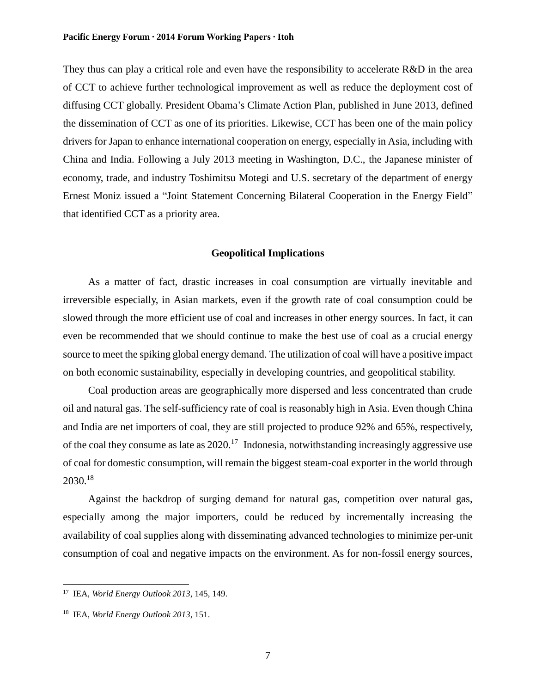They thus can play a critical role and even have the responsibility to accelerate R&D in the area of CCT to achieve further technological improvement as well as reduce the deployment cost of diffusing CCT globally. President Obama's Climate Action Plan, published in June 2013, defined the dissemination of CCT as one of its priorities. Likewise, CCT has been one of the main policy drivers for Japan to enhance international cooperation on energy, especially in Asia, including with China and India. Following a July 2013 meeting in Washington, D.C., the Japanese minister of economy, trade, and industry Toshimitsu Motegi and U.S. secretary of the department of energy Ernest Moniz issued a "Joint Statement Concerning Bilateral Cooperation in the Energy Field" that identified CCT as a priority area.

## **Geopolitical Implications**

As a matter of fact, drastic increases in coal consumption are virtually inevitable and irreversible especially, in Asian markets, even if the growth rate of coal consumption could be slowed through the more efficient use of coal and increases in other energy sources. In fact, it can even be recommended that we should continue to make the best use of coal as a crucial energy source to meet the spiking global energy demand. The utilization of coal will have a positive impact on both economic sustainability, especially in developing countries, and geopolitical stability.

Coal production areas are geographically more dispersed and less concentrated than crude oil and natural gas. The self-sufficiency rate of coal is reasonably high in Asia. Even though China and India are net importers of coal, they are still projected to produce 92% and 65%, respectively, of the coal they consume as late as  $2020$ .<sup>17</sup> Indonesia, notwithstanding increasingly aggressive use of coal for domestic consumption, will remain the biggest steam-coal exporter in the world through 2030.<sup>18</sup>

Against the backdrop of surging demand for natural gas, competition over natural gas, especially among the major importers, could be reduced by incrementally increasing the availability of coal supplies along with disseminating advanced technologies to minimize per-unit consumption of coal and negative impacts on the environment. As for non-fossil energy sources,

<sup>17</sup> IEA, *World Energy Outlook 2013*, 145, 149.

<sup>18</sup> IEA, *World Energy Outlook 2013*, 151.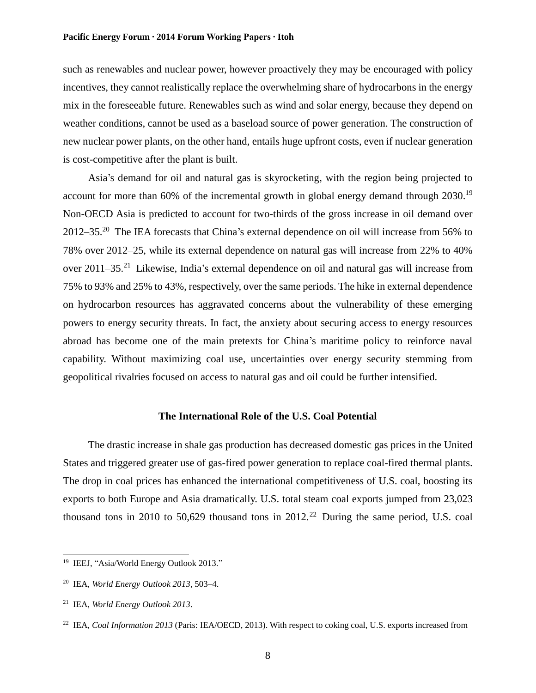such as renewables and nuclear power, however proactively they may be encouraged with policy incentives, they cannot realistically replace the overwhelming share of hydrocarbons in the energy mix in the foreseeable future. Renewables such as wind and solar energy, because they depend on weather conditions, cannot be used as a baseload source of power generation. The construction of new nuclear power plants, on the other hand, entails huge upfront costs, even if nuclear generation is cost-competitive after the plant is built.

Asia's demand for oil and natural gas is skyrocketing, with the region being projected to account for more than 60% of the incremental growth in global energy demand through 2030.<sup>19</sup> Non-OECD Asia is predicted to account for two-thirds of the gross increase in oil demand over 2012–35.<sup>20</sup> The IEA forecasts that China's external dependence on oil will increase from 56% to 78% over 2012–25, while its external dependence on natural gas will increase from 22% to 40% over 2011–35.<sup>21</sup> Likewise, India's external dependence on oil and natural gas will increase from 75% to 93% and 25% to 43%, respectively, over the same periods. The hike in external dependence on hydrocarbon resources has aggravated concerns about the vulnerability of these emerging powers to energy security threats. In fact, the anxiety about securing access to energy resources abroad has become one of the main pretexts for China's maritime policy to reinforce naval capability. Without maximizing coal use, uncertainties over energy security stemming from geopolitical rivalries focused on access to natural gas and oil could be further intensified.

## **The International Role of the U.S. Coal Potential**

The drastic increase in shale gas production has decreased domestic gas prices in the United States and triggered greater use of gas-fired power generation to replace coal-fired thermal plants. The drop in coal prices has enhanced the international competitiveness of U.S. coal, boosting its exports to both Europe and Asia dramatically. U.S. total steam coal exports jumped from 23,023 thousand tons in 2010 to 50,629 thousand tons in  $2012<sup>22</sup>$  During the same period, U.S. coal

<sup>&</sup>lt;sup>19</sup> IEEJ, "Asia/World Energy Outlook 2013."

<sup>20</sup> IEA, *World Energy Outlook 2013*, 503–4.

<sup>21</sup> IEA, *World Energy Outlook 2013*.

<sup>22</sup> IEA, *Coal Information 2013* (Paris: IEA/OECD, 2013). With respect to coking coal, U.S. exports increased from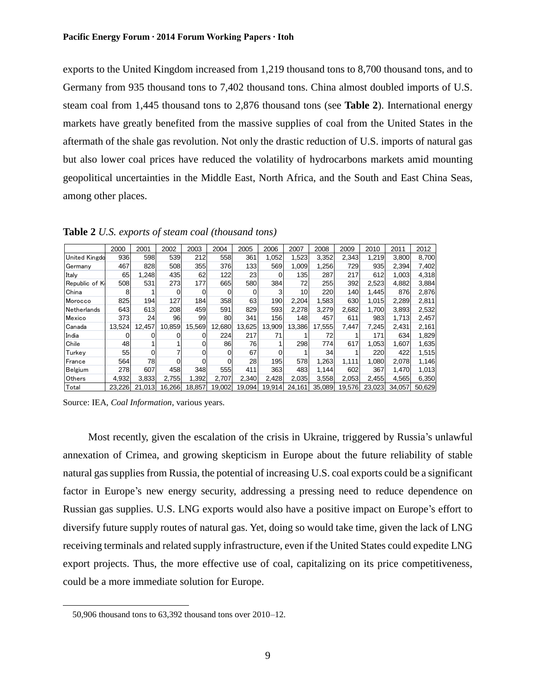exports to the United Kingdom increased from 1,219 thousand tons to 8,700 thousand tons, and to Germany from 935 thousand tons to 7,402 thousand tons. China almost doubled imports of U.S. steam coal from 1,445 thousand tons to 2,876 thousand tons (see **Table 2**). International energy markets have greatly benefited from the massive supplies of coal from the United States in the aftermath of the shale gas revolution. Not only the drastic reduction of U.S. imports of natural gas but also lower coal prices have reduced the volatility of hydrocarbons markets amid mounting geopolitical uncertainties in the Middle East, North Africa, and the South and East China Seas, among other places.

|                      | 2000   | 2001   | 2002   | 2003   | 2004   | 2005   | 2006     | 2007   | 2008   | 2009   | 2010   | 2011   | 2012   |
|----------------------|--------|--------|--------|--------|--------|--------|----------|--------|--------|--------|--------|--------|--------|
| <b>United Kingdo</b> | 936    | 598    | 539    | 212    | 558    | 361    | 1.052    | 1,523  | 3,352  | 2,343  | 1,219  | 3,800  | 8,700  |
| Germany              | 467    | 828    | 508    | 355    | 376    | 1331   | 569      | 1,009  | 1.256  | 729    | 935    | 2,394  | 7,402  |
| Italv                | 65     | 1,248  | 435    | 62     | 122    | 23     | $\Omega$ | 135    | 287    | 217    | 612    | 1.003  | 4,318  |
| Republic of K        | 508    | 531    | 273    | 177    | 665    | 580    | 384      | 72     | 255    | 392    | 2,523  | 4,882  | 3,884  |
| China                | 8      |        | 0      | ი      | 0      | 0      | 3        | 10     | 220    | 140    | 1.445  | 876    | 2,876  |
| Morocco              | 825    | 194    | 127    | 184    | 358    | 63     | 190      | 2,204  | 1,583  | 630    | 1,015  | 2,289  | 2,811  |
| Netherlands          | 643    | 613    | 208    | 459    | 591    | 829    | 593      | 2,278  | 3,279  | 2,682  | 1.700  | 3,893  | 2,532  |
| Mexico               | 373    | 24     | 96     | 99     | 80     | 341    | 156      | 148    | 457    | 611    | 983    | 1.713  | 2,457  |
| Canada               | 13,524 | 12,457 | 10,859 | 15,569 | 12,680 | 13,625 | 13,909   | 13,386 | 17,555 | 7.447  | 7,245  | 2,431  | 2,161  |
| India                |        |        |        |        | 224    | 217    | 71       |        | 72     |        | 171    | 634    | 1,829  |
| Chile                | 48     |        |        |        | 86     | 76     |          | 298    | 774    | 617    | 1.053  | 1,607  | 1,635  |
| Turkey               | 55     |        |        |        | 0      | 67     |          |        | 34     |        | 220    | 422    | 1,515  |
| France               | 564    | 78     | ი      | 0      |        | 28     | 195      | 578    | 1,263  | 1,111  | 1,080  | 2,078  | 1,146  |
| Belgium              | 278    | 607    | 458    | 348    | 555    | 411    | 363      | 483    | 1,144  | 602    | 367    | 1,470  | 1,013  |
| <b>Others</b>        | 4,932  | 3.833  | 2.755  | 1,392  | 2.707  | 2,340  | 2.428    | 2,035  | 3,558  | 2,053  | 2.455  | 4.565  | 6,350  |
| Total                | 23.226 | 21.013 | 16.266 | 18,857 | 19,002 | 19.094 | 19,914   | 24,161 | 35.089 | 19.576 | 23.023 | 34.057 | 50.629 |

**Table 2** *U.S. exports of steam coal (thousand tons)*

Source: IEA, *Coal Information*, various years.

Most recently, given the escalation of the crisis in Ukraine, triggered by Russia's unlawful annexation of Crimea, and growing skepticism in Europe about the future reliability of stable natural gas supplies from Russia, the potential of increasing U.S. coal exports could be a significant factor in Europe's new energy security, addressing a pressing need to reduce dependence on Russian gas supplies. U.S. LNG exports would also have a positive impact on Europe's effort to diversify future supply routes of natural gas. Yet, doing so would take time, given the lack of LNG receiving terminals and related supply infrastructure, even if the United States could expedite LNG export projects. Thus, the more effective use of coal, capitalizing on its price competitiveness, could be a more immediate solution for Europe.

<sup>50,906</sup> thousand tons to 63,392 thousand tons over 2010–12.